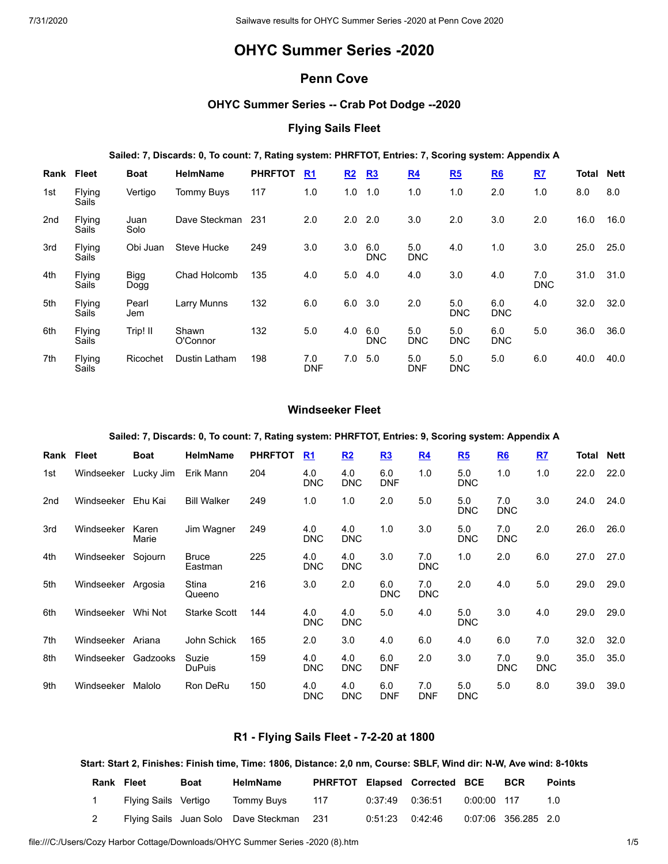# **OHYC Summer Series -2020**

# **Penn Cove**

# **OHYC Summer Series -- Crab Pot Dodge --2020**

# **Flying Sails Fleet**

## **Sailed: 7, Discards: 0, To count: 7, Rating system: PHRFTOT, Entries: 7, Scoring system: Appendix A**

| Rank | <b>Fleet</b>    | <b>Boat</b>  | <b>HelmName</b>   | <b>PHRFTOT</b> | R <sub>1</sub>    | R2  | R3                | R <sub>4</sub>    | R5                | R6                | R7                | Total | <b>Nett</b> |
|------|-----------------|--------------|-------------------|----------------|-------------------|-----|-------------------|-------------------|-------------------|-------------------|-------------------|-------|-------------|
| 1st  | Flying<br>Sails | Vertigo      | <b>Tommy Buys</b> | 117            | 1.0               | 1.0 | 1.0               | 1.0               | 1.0               | 2.0               | 1.0               | 8.0   | 8.0         |
| 2nd  | Flying<br>Sails | Juan<br>Solo | Dave Steckman     | 231            | 2.0               | 2.0 | 2.0               | 3.0               | 2.0               | 3.0               | 2.0               | 16.0  | 16.0        |
| 3rd  | Flying<br>Sails | Obi Juan     | Steve Hucke       | 249            | 3.0               | 3.0 | 6.0<br><b>DNC</b> | 5.0<br><b>DNC</b> | 4.0               | 1.0               | 3.0               | 25.0  | 25.0        |
| 4th  | Flying<br>Sails | Bigg<br>Dogg | Chad Holcomb      | 135            | 4.0               | 5.0 | 4.0               | 4.0               | 3.0               | 4.0               | 7.0<br><b>DNC</b> | 31.0  | 31.0        |
| 5th  | Flying<br>Sails | Pearl<br>Jem | Larry Munns       | 132            | 6.0               | 6.0 | 3.0               | 2.0               | 5.0<br><b>DNC</b> | 6.0<br><b>DNC</b> | 4.0               | 32.0  | 32.0        |
| 6th  | Flying<br>Sails | Trip! II     | Shawn<br>O'Connor | 132            | 5.0               | 4.0 | 6.0<br><b>DNC</b> | 5.0<br><b>DNC</b> | 5.0<br><b>DNC</b> | 6.0<br><b>DNC</b> | 5.0               | 36.0  | 36.0        |
| 7th  | Flying<br>Sails | Ricochet     | Dustin Latham     | 198            | 7.0<br><b>DNF</b> | 7.0 | 5.0               | 5.0<br><b>DNF</b> | 5.0<br><b>DNC</b> | 5.0               | 6.0               | 40.0  | 40.0        |

# **Windseeker Fleet**

#### **Sailed: 7, Discards: 0, To count: 7, Rating system: PHRFTOT, Entries: 9, Scoring system: Appendix A**

| Rank | Fleet      | <b>Boat</b>    | <b>HelmName</b>         | <b>PHRFTOT</b> | R <sub>1</sub>    | R2                | R3                | R <sub>4</sub>    | R5                | R6                | RZ                | Total | <b>Nett</b> |
|------|------------|----------------|-------------------------|----------------|-------------------|-------------------|-------------------|-------------------|-------------------|-------------------|-------------------|-------|-------------|
| 1st  | Windseeker | Lucky Jim      | Erik Mann               | 204            | 4.0<br><b>DNC</b> | 4.0<br><b>DNC</b> | 6.0<br><b>DNF</b> | 1.0               | 5.0<br><b>DNC</b> | 1.0               | 1.0               | 22.0  | 22.0        |
| 2nd  | Windseeker | Ehu Kai        | <b>Bill Walker</b>      | 249            | 1.0               | 1.0               | 2.0               | 5.0               | 5.0<br><b>DNC</b> | 7.0<br><b>DNC</b> | 3.0               | 24.0  | 24.0        |
| 3rd  | Windseeker | Karen<br>Marie | Jim Wagner              | 249            | 4.0<br><b>DNC</b> | 4.0<br><b>DNC</b> | 1.0               | 3.0               | 5.0<br><b>DNC</b> | 7.0<br><b>DNC</b> | 2.0               | 26.0  | 26.0        |
| 4th  | Windseeker | Sojourn        | <b>Bruce</b><br>Eastman | 225            | 4.0<br><b>DNC</b> | 4.0<br><b>DNC</b> | 3.0               | 7.0<br><b>DNC</b> | 1.0               | 2.0               | 6.0               | 27.0  | 27.0        |
| 5th  | Windseeker | Argosia        | Stina<br>Queeno         | 216            | 3.0               | 2.0               | 6.0<br><b>DNC</b> | 7.0<br><b>DNC</b> | 2.0               | 4.0               | 5.0               | 29.0  | 29.0        |
| 6th  | Windseeker | Whi Not        | <b>Starke Scott</b>     | 144            | 4.0<br><b>DNC</b> | 4.0<br><b>DNC</b> | 5.0               | 4.0               | 5.0<br><b>DNC</b> | 3.0               | 4.0               | 29.0  | 29.0        |
| 7th  | Windseeker | Ariana         | John Schick             | 165            | 2.0               | 3.0               | 4.0               | 6.0               | 4.0               | 6.0               | 7.0               | 32.0  | 32.0        |
| 8th  | Windseeker | Gadzooks       | Suzie<br><b>DuPuis</b>  | 159            | 4.0<br><b>DNC</b> | 4.0<br><b>DNC</b> | 6.0<br><b>DNF</b> | 2.0               | 3.0               | 7.0<br><b>DNC</b> | 9.0<br><b>DNC</b> | 35.0  | 35.0        |
| 9th  | Windseeker | Malolo         | Ron DeRu                | 150            | 4.0<br><b>DNC</b> | 4.0<br><b>DNC</b> | 6.0<br><b>DNF</b> | 7.0<br><b>DNF</b> | 5.0<br><b>DNC</b> | 5.0               | 8.0               | 39.0  | 39.0        |

# **R1 - Flying Sails Fleet - 7-2-20 at 1800**

#### Start: Start 2, Finishes: Finish time, Time: 1806, Distance: 2,0 nm, Course: SBLF, Wind dir: N-W, Ave wind: 8-10kts

| <b>Rank Fleet</b> |                      | <b>Boat</b> | <b>HelmName</b>                          |     |                     | <b>PHRFTOT Elapsed Corrected BCE</b> |             | <b>BCR</b>          | <b>Points</b> |
|-------------------|----------------------|-------------|------------------------------------------|-----|---------------------|--------------------------------------|-------------|---------------------|---------------|
|                   | Flying Sails Vertigo |             | Tommy Buys                               | 117 | $0:37:49$ $0:36:51$ |                                      | 0:00:00 117 |                     | 1 N           |
|                   |                      |             | Flying Sails Juan Solo Dave Steckman 231 |     | 0:51:23   0:42:46   |                                      |             | 0:07:06 356.285 2.0 |               |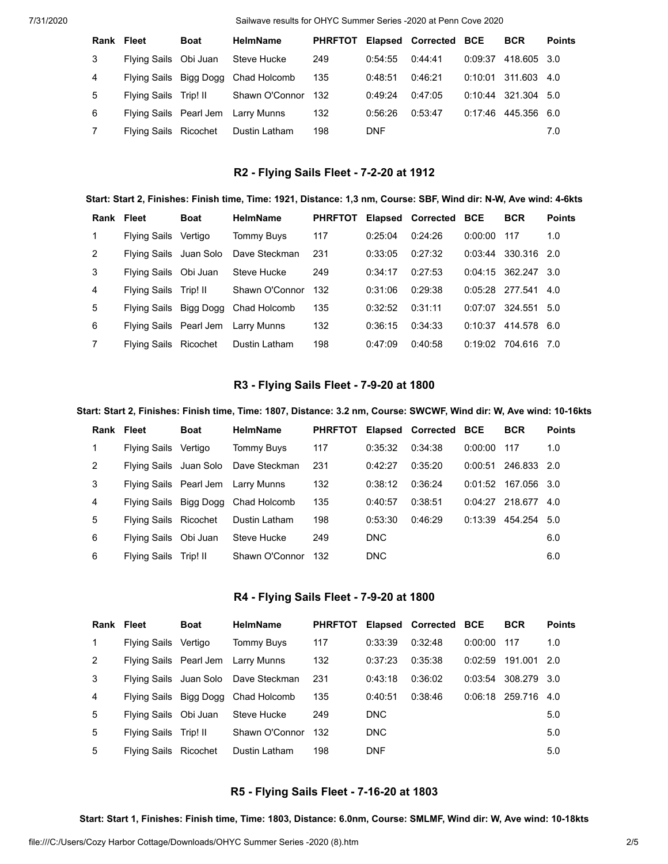7/31/2020 Sailwave results for OHYC Summer Series -2020 at Penn Cove 2020

| Rank Fleet |                        | <b>Boat</b> | <b>HelmName</b>                    | <b>PHRFTOT</b> |            | Elapsed Corrected BCE |         | <b>BCR</b>            | <b>Points</b> |
|------------|------------------------|-------------|------------------------------------|----------------|------------|-----------------------|---------|-----------------------|---------------|
| 3          | Flying Sails Obi Juan  |             | Steve Hucke                        | 249            | 0:54:55    | 0:44:41               | 0:09:37 | 418.605 3.0           |               |
| 4          | Flying Sails Bigg Dogg |             | Chad Holcomb                       | 135            | 0:48:51    | 0:46:21               |         | $0:10:01$ 311.603 4.0 |               |
| 5          | Flying Sails Trip! II  |             | Shawn O'Connor                     | 132            | 0:49:24    | 0:47:05               |         | 0:10:44 321.304 5.0   |               |
| 6          |                        |             | Flying Sails Pearl Jem Larry Munns | 132            | 0:56:26    | 0:53:47               | 0:17:46 | 445.356 6.0           |               |
| 7          | Flying Sails Ricochet  |             | Dustin Latham                      | 198            | <b>DNF</b> |                       |         |                       | 7.0           |

### **R2 - Flying Sails Fleet - 7-2-20 at 1912**

#### Start: Start 2, Finishes: Finish time, Time: 1921, Distance: 1,3 nm, Course: SBF, Wind dir: N-W, Ave wind: 4-6kts

| Rank Fleet     |                        | <b>Boat</b> | <b>HelmName</b>                    | <b>PHRFTOT</b> |         | Elapsed Corrected BCE |         | <b>BCR</b>        | <b>Points</b> |
|----------------|------------------------|-------------|------------------------------------|----------------|---------|-----------------------|---------|-------------------|---------------|
| 1              | Flying Sails           | Vertigo     | <b>Tommy Buys</b>                  | 117            | 0:25:04 | 0:24:26               | 0:00:00 | 117               | 1.0           |
| $\mathcal{P}$  | Flying Sails Juan Solo |             | Dave Steckman                      | 231            | 0:33:05 | 0:27:32               | 0:03:44 | 330.316 2.0       |               |
| 3              | Flying Sails Obi Juan  |             | Steve Hucke                        | 249            | 0:34:17 | 0:27:53               | 0:04:15 | 362.247 3.0       |               |
| 4              | <b>Flying Sails</b>    | Trip! II    | Shawn O'Connor                     | 132            | 0:31:06 | 0:29:38               |         | $0:05:28$ 277.541 | 4.0           |
| 5              | Flying Sails Bigg Dogg |             | Chad Holcomb                       | 135            | 0:32:52 | 0:31:11               | 0:07:07 | 324.551           | 5.0           |
| 6              |                        |             | Flying Sails Pearl Jem Larry Munns | 132            | 0:36:15 | 0:34:33               | 0:10:37 | 414.578 6.0       |               |
| $\overline{7}$ | Flying Sails Ricochet  |             | Dustin Latham                      | 198            | 0:47:09 | 0:40:58               | 0:19:02 | 704.616           | 7.0           |

## **R3 - Flying Sails Fleet - 7-9-20 at 1800**

#### Start: Start 2, Finishes: Finish time, Time: 1807, Distance: 3.2 nm, Course: SWCWF, Wind dir: W, Ave wind: 10-16kts

| Rank         | Fleet                  | <b>Boat</b> | <b>HelmName</b>                    | <b>PHRFTOT</b> |            | Elapsed Corrected | <b>BCE</b> | <b>BCR</b>  | <b>Points</b> |
|--------------|------------------------|-------------|------------------------------------|----------------|------------|-------------------|------------|-------------|---------------|
| $\mathbf{1}$ | <b>Flying Sails</b>    | Vertigo     | <b>Tommy Buys</b>                  | 117            | 0:35:32    | 0:34:38           | 0:00:00    | 117         | 1.0           |
| 2            | Flying Sails Juan Solo |             | Dave Steckman                      | 231            | 0:42:27    | 0:35:20           | 0:00:51    | 246.833 2.0 |               |
| 3            |                        |             | Flying Sails Pearl Jem Larry Munns | 132            | 0:38:12    | 0:36:24           | 0:01:52    | 167.056 3.0 |               |
| 4            | Flying Sails Bigg Dogg |             | Chad Holcomb                       | 135            | 0:40:57    | 0:38:51           | 0:04:27    | 218.677 4.0 |               |
| 5            | Flying Sails Ricochet  |             | Dustin Latham                      | 198            | 0:53:30    | 0:46:29           | 0:13:39    | 454.254 5.0 |               |
| 6            | Flying Sails Obi Juan  |             | Steve Hucke                        | 249            | <b>DNC</b> |                   |            |             | 6.0           |
| 6            | <b>Flying Sails</b>    | Trip! II    | Shawn O'Connor                     | 132            | <b>DNC</b> |                   |            |             | 6.0           |

## **R4 - Flying Sails Fleet - 7-9-20 at 1800**

| <b>Rank Fleet</b> |                       | <b>Boat</b> | <b>HelmName</b>                      | <b>PHRFTOT</b> |            | Elapsed Corrected BCE |         | <b>BCR</b>        | <b>Points</b> |
|-------------------|-----------------------|-------------|--------------------------------------|----------------|------------|-----------------------|---------|-------------------|---------------|
| 1                 | Flying Sails Vertigo  |             | <b>Tommy Buys</b>                    | 117            | 0:33:39    | 0:32:48               | 0:00:00 | - 117             | 1.0           |
| 2                 |                       |             | Flying Sails Pearl Jem Larry Munns   | 132            | 0:37:23    | 0:35:38               | 0:02:59 | 191.001           | -2.0          |
| 3                 |                       |             | Flying Sails Juan Solo Dave Steckman | 231            | 0:43:18    | 0.36:02               | 0:03:54 | 308.279 3.0       |               |
| $\overline{4}$    |                       |             | Flying Sails Bigg Dogg Chad Holcomb  | 135            | 0:40:51    | 0:38:46               |         | $0:06:18$ 259.716 | 4.0           |
| 5                 | Flying Sails Obi Juan |             | Steve Hucke                          | 249            | <b>DNC</b> |                       |         |                   | 5.0           |
| 5                 | Flying Sails Trip! II |             | Shawn O'Connor                       | 132            | <b>DNC</b> |                       |         |                   | 5.0           |
| 5                 | Flying Sails Ricochet |             | Dustin Latham                        | 198            | <b>DNF</b> |                       |         |                   | 5.0           |

# **R5 - Flying Sails Fleet - 7-16-20 at 1803**

Start: Start 1, Finishes: Finish time, Time: 1803, Distance: 6.0nm, Course: SMLMF, Wind dir: W, Ave wind: 10-18kts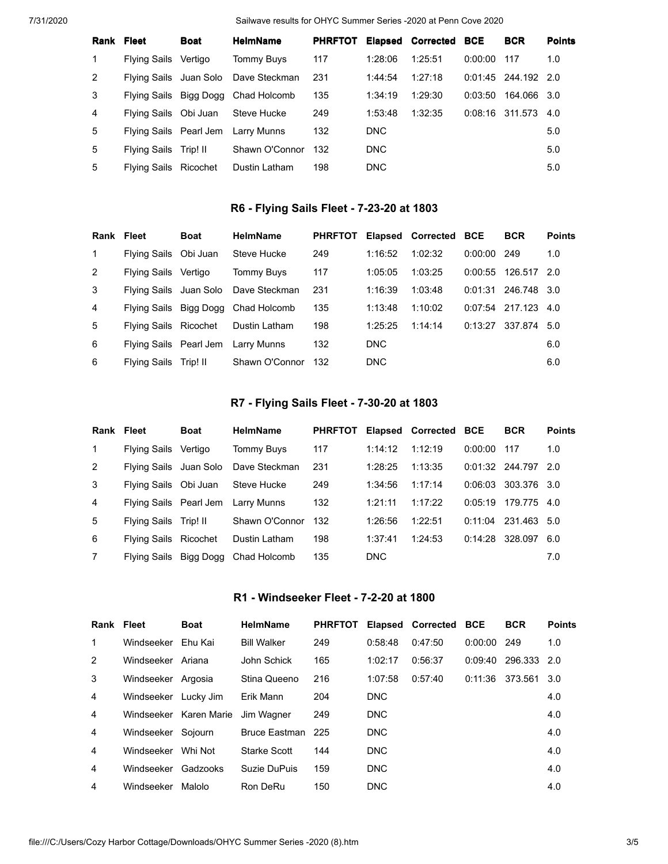7/31/2020 Sailwave results for OHYC Summer Series -2020 at Penn Cove 2020

| Rank Fleet     |                        | <b>Boat</b> | <b>HelmName</b>                      | <b>PHRFTOT</b> |            | <b>Elapsed Corrected BCE</b> |         | <b>BCR</b>            | <b>Points</b> |
|----------------|------------------------|-------------|--------------------------------------|----------------|------------|------------------------------|---------|-----------------------|---------------|
| 1              | Flying Sails Vertigo   |             | Tommy Buys                           | 117            | 1:28:06    | 1:25:51                      | 0:00:00 | 117                   | 1.0           |
| 2              |                        |             | Flying Sails Juan Solo Dave Steckman | 231            | 1:44:54    | 1:27:18                      |         | $0:01:45$ 244.192 2.0 |               |
| 3              | Flying Sails Bigg Dogg |             | Chad Holcomb                         | 135            | 1:34:19    | 1:29:30                      | 0:03:50 | 164.066 3.0           |               |
| $\overline{4}$ | Flying Sails Obi Juan  |             | Steve Hucke                          | 249            | 1:53:48    | 1:32:35                      |         | $0:08:16$ 311.573     | 4.0           |
| 5              |                        |             | Flying Sails Pearl Jem Larry Munns   | 132            | DNC        |                              |         |                       | 5.0           |
| 5              | <b>Flying Sails</b>    | Trip! II    | Shawn O'Connor                       | 132            | DNC        |                              |         |                       | 5.0           |
| 5              | Flying Sails Ricochet  |             | Dustin Latham                        | 198            | <b>DNC</b> |                              |         |                       | 5.0           |

# **R6 - Flying Sails Fleet - 7-23-20 at 1803**

| <b>Rank Fleet</b> |                        | <b>Boat</b> | <b>HelmName</b>                      | <b>PHRFTOT</b> |            | Elapsed Corrected BCE |               | <b>BCR</b>        | <b>Points</b> |
|-------------------|------------------------|-------------|--------------------------------------|----------------|------------|-----------------------|---------------|-------------------|---------------|
| $\mathbf{1}$      | Flying Sails Obi Juan  |             | Steve Hucke                          | 249            | 1:16:52    | 1:02:32               | $0:00:00$ 249 |                   | 1.0           |
| 2                 | <b>Flying Sails</b>    | Vertigo     | Tommy Buys                           | 117            | 1:05:05    | 1:03:25               | 0:00:55       | 126.517 2.0       |               |
| 3                 |                        |             | Flying Sails Juan Solo Dave Steckman | 231            | 1:16:39    | 1:03:48               | 0:01:31       | 246.748 3.0       |               |
| 4                 | Flying Sails Bigg Dogg |             | Chad Holcomb                         | 135            | 1:13:48    | 1:10:02               |               | $0:07:54$ 217.123 | 4.0           |
| 5                 | Flying Sails Ricochet  |             | Dustin Latham                        | 198            | 1:25:25    | 1:14:14               | 0:13:27       | 337.874 5.0       |               |
| 6                 |                        |             | Flying Sails Pearl Jem Larry Munns   | 132            | DNC.       |                       |               |                   | 6.0           |
| 6                 | Flying Sails           | Trip! II    | Shawn O'Connor                       | 132            | <b>DNC</b> |                       |               |                   | 6.0           |

# **R7 - Flying Sails Fleet - 7-30-20 at 1803**

| <b>Rank Fleet</b> |                        | <b>Boat</b> | <b>HelmName</b>   | <b>PHRFTOT</b> |            | Elapsed Corrected BCE |         | <b>BCR</b>        | <b>Points</b> |
|-------------------|------------------------|-------------|-------------------|----------------|------------|-----------------------|---------|-------------------|---------------|
| $\mathbf{1}$      | <b>Flying Sails</b>    | Vertigo     | <b>Tommy Buys</b> | 117            | 1:14:12    | 1:12:19               | 0:00:00 | 117               | 1.0           |
| $\mathcal{P}$     | Flying Sails Juan Solo |             | Dave Steckman     | 231            | 1:28:25    | 1:13:35               |         | $0:01:32$ 244.797 | 2.0           |
| 3                 | Flying Sails Obi Juan  |             | Steve Hucke       | 249            | 1:34:56    | 1:17:14               | 0:06:03 | 303.376 3.0       |               |
| $\overline{4}$    | Flying Sails Pearl Jem |             | Larry Munns       | 132            | 1:21:11    | 1:17:22               | 0:05:19 | 179.775           | 4.O           |
| 5                 | Flying Sails Trip! II  |             | Shawn O'Connor    | 132            | 1:26:56    | 1:22:51               | 0:11:04 | 231.463 5.0       |               |
| 6                 | Flying Sails Ricochet  |             | Dustin Latham     | 198            | 1:37:41    | 1:24:53               | 0:14:28 | 328.097           | 6.0           |
| $\overline{7}$    | Flying Sails Bigg Dogg |             | Chad Holcomb      | 135            | <b>DNC</b> |                       |         |                   | 7.0           |

## **R1 - Windseeker Fleet - 7-2-20 at 1800**

| Rank Fleet |                    | <b>Boat</b>            | <b>HelmName</b>    | <b>PHRFTOT</b> |            | <b>Elapsed Corrected BCE</b> |         | <b>BCR</b> | <b>Points</b> |
|------------|--------------------|------------------------|--------------------|----------------|------------|------------------------------|---------|------------|---------------|
| 1          | Windseeker         | Fhu Kai                | <b>Bill Walker</b> | 249            | 0:58:48    | 0:47:50                      | 0:00:00 | 249        | 1.0           |
| 2          | Windseeker Ariana  |                        | John Schick        | 165            | 1:02:17    | 0:56:37                      | 0:09:40 | 296.333    | 2.0           |
| 3          | Windseeker Argosia |                        | Stina Queeno       | 216            | 1:07:58    | 0:57:40                      | 0:11:36 | 373.561    | 3.0           |
| 4          | Windseeker         | Lucky Jim              | Erik Mann          | 204            | <b>DNC</b> |                              |         |            | 4.0           |
| 4          |                    | Windseeker Karen Marie | Jim Wagner         | 249            | DNC        |                              |         |            | 4.0           |
| 4          | Windseeker Sojourn |                        | Bruce Eastman      | 225            | <b>DNC</b> |                              |         |            | 4.0           |
| 4          | Windseeker         | Whi Not                | Starke Scott       | 144            | DNC        |                              |         |            | 4.0           |
| 4          | Windseeker         | Gadzooks               | Suzie DuPuis       | 159            | <b>DNC</b> |                              |         |            | 4.0           |
| 4          | Windseeker         | Malolo                 | Ron DeRu           | 150            | DNC        |                              |         |            | 4.0           |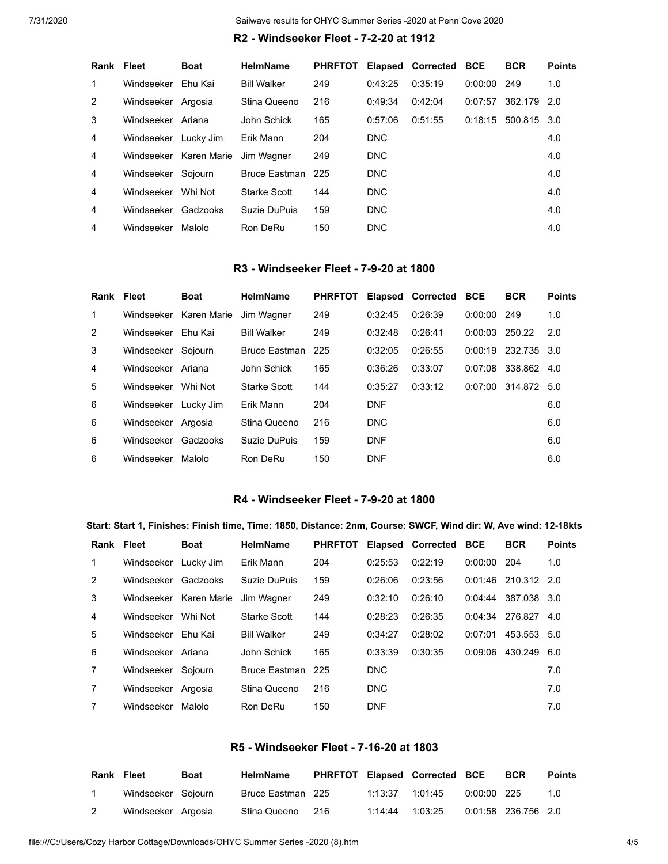### **R2 - Windseeker Fleet - 7-2-20 at 1912**

|            | <b>Boat</b> | <b>HelmName</b>                                                                                                                                              | <b>PHRFTOT</b> |                   |         |         | <b>BCR</b>            | <b>Points</b>  |
|------------|-------------|--------------------------------------------------------------------------------------------------------------------------------------------------------------|----------------|-------------------|---------|---------|-----------------------|----------------|
|            |             | <b>Bill Walker</b>                                                                                                                                           | 249            | 0:43:25           | 0:35:19 | 0:00:00 |                       | 1.0            |
|            |             | Stina Queeno                                                                                                                                                 | 216            | 0:49:34           | 0:42:04 | 0:07:57 | 362.179 2.0           |                |
|            |             | John Schick                                                                                                                                                  | 165            | 0:57:06           | 0:51:55 |         | 500.815 3.0           |                |
|            |             | Erik Mann                                                                                                                                                    | 204            | <b>DNC</b>        |         |         |                       | 4.0            |
|            |             |                                                                                                                                                              | 249            | <b>DNC</b>        |         |         |                       | 4.0            |
|            |             |                                                                                                                                                              |                | DNC               |         |         |                       | 4.0            |
| Windseeker |             | Starke Scott                                                                                                                                                 | 144            | <b>DNC</b>        |         |         |                       | 4.0            |
| Windseeker |             | Suzie DuPuis                                                                                                                                                 | 159            | <b>DNC</b>        |         |         |                       | 4.0            |
| Windseeker | Malolo      | Ron DeRu                                                                                                                                                     | 150            | <b>DNC</b>        |         |         |                       | 4.0            |
|            | Rank Fleet  | Windseeker Fhu Kai<br>Windseeker Argosia<br>Windseeker Ariana<br>Windseeker Lucky Jim<br>Windseeker Karen Marie<br>Windseeker Sojourn<br>Whi Not<br>Gadzooks | Jim Wagner     | Bruce Eastman 225 |         |         | Elapsed Corrected BCE | 249<br>0:18:15 |

## **R3 - Windseeker Fleet - 7-9-20 at 1800**

| Rank Fleet     |                      | <b>Boat</b>            | <b>HelmName</b>     | <b>PHRFTOT</b> |            | Elapsed Corrected BCE |                  | <b>BCR</b>            | <b>Points</b> |
|----------------|----------------------|------------------------|---------------------|----------------|------------|-----------------------|------------------|-----------------------|---------------|
| 1              |                      | Windseeker Karen Marie | Jim Wagner          | 249            | 0:32:45    | 0:26:39               | 0:00:00          | 249                   | 1.0           |
| 2              | Windseeker           | Fhu Kai                | <b>Bill Walker</b>  | 249            | 0:32:48    | 0:26:41               | $0:00:03$ 250.22 |                       | 2.0           |
| 3              | Windseeker Sojourn   |                        | Bruce Eastman 225   |                | 0:32:05    | 0:26:55               |                  | $0:00:19$ 232.735 3.0 |               |
| $\overline{4}$ | Windseeker           | Ariana                 | John Schick         | 165            | 0:36:26    | 0:33:07               | 0:07:08          | 338.862               | 4.0           |
| 5              | Windseeker           | Whi Not                | <b>Starke Scott</b> | 144            | 0:35:27    | 0:33:12               | 0:07:00          | 314.872 5.0           |               |
| 6              | Windseeker Lucky Jim |                        | Erik Mann           | 204            | <b>DNF</b> |                       |                  |                       | 6.0           |
| 6              | Windseeker Argosia   |                        | Stina Queeno        | 216            | DNC        |                       |                  |                       | 6.0           |
| 6              | Windseeker           | Gadzooks               | Suzie DuPuis        | 159            | <b>DNF</b> |                       |                  |                       | 6.0           |
| 6              | Windseeker           | Malolo                 | Ron DeRu            | 150            | <b>DNF</b> |                       |                  |                       | 6.0           |

## **R4 - Windseeker Fleet - 7-9-20 at 1800**

### Start: Start 1, Finishes: Finish time, Time: 1850, Distance: 2nm, Course: SWCF, Wind dir: W, Ave wind: 12-18kts

| Rank Fleet     |                    | <b>Boat</b> | <b>HelmName</b>    | <b>PHRFTOT</b> |            | Elapsed Corrected BCE |         | <b>BCR</b>      | <b>Points</b> |
|----------------|--------------------|-------------|--------------------|----------------|------------|-----------------------|---------|-----------------|---------------|
| 1              | Windseeker         | Lucky Jim   | Erik Mann          | 204            | 0:25:53    | 0:22:19               | 0:00:00 | 204             | 1.0           |
| 2              | Windseeker         | Gadzooks    | Suzie DuPuis       | 159            | 0:26:06    | 0:23:56               |         | 0:01:46 210.312 | 2.0           |
| 3              | Windseeker         | Karen Marie | Jim Wagner         | 249            | 0:32:10    | 0:26:10               | 0:04:44 | 387.038 3.0     |               |
| 4              | Windseeker         | Whi Not     | Starke Scott       | 144            | 0:28:23    | 0:26:35               | 0:04:34 | 276.827         | 4.0           |
| 5              | Windseeker         | Fhu Kai     | <b>Bill Walker</b> | 249            | 0:34:27    | 0:28:02               | 0:07:01 | 453.553 5.0     |               |
| 6              | Windseeker         | Ariana      | John Schick        | 165            | 0:33:39    | 0:30:35               | 0:09:06 | 430.249         | 6.0           |
| $\overline{7}$ | Windseeker         | Sojourn     | Bruce Eastman      | 225            | DNC.       |                       |         |                 | 7.0           |
| $\overline{7}$ | Windseeker Argosia |             | Stina Queeno       | 216            | <b>DNC</b> |                       |         |                 | 7.0           |
|                | Windseeker         | Malolo      | Ron DeRu           | 150            | <b>DNF</b> |                       |         |                 | 7.0           |

## **R5 - Windseeker Fleet - 7-16-20 at 1803**

| Rank Fleet |                    | <b>Boat</b> | <b>HelmName</b>   |                  | PHRFTOT Elapsed Corrected BCE |             | <b>BCR</b>          | <b>Points</b> |
|------------|--------------------|-------------|-------------------|------------------|-------------------------------|-------------|---------------------|---------------|
|            | Windseeker Sojourn |             | Bruce Eastman 225 | 1:13:37  1:01:45 |                               | 0:00:00 225 |                     | 1.0           |
|            | Windseeker Argosia |             | Stina Queeno 216  | 1:14:44 1:03:25  |                               |             | 0:01:58 236.756 2.0 |               |